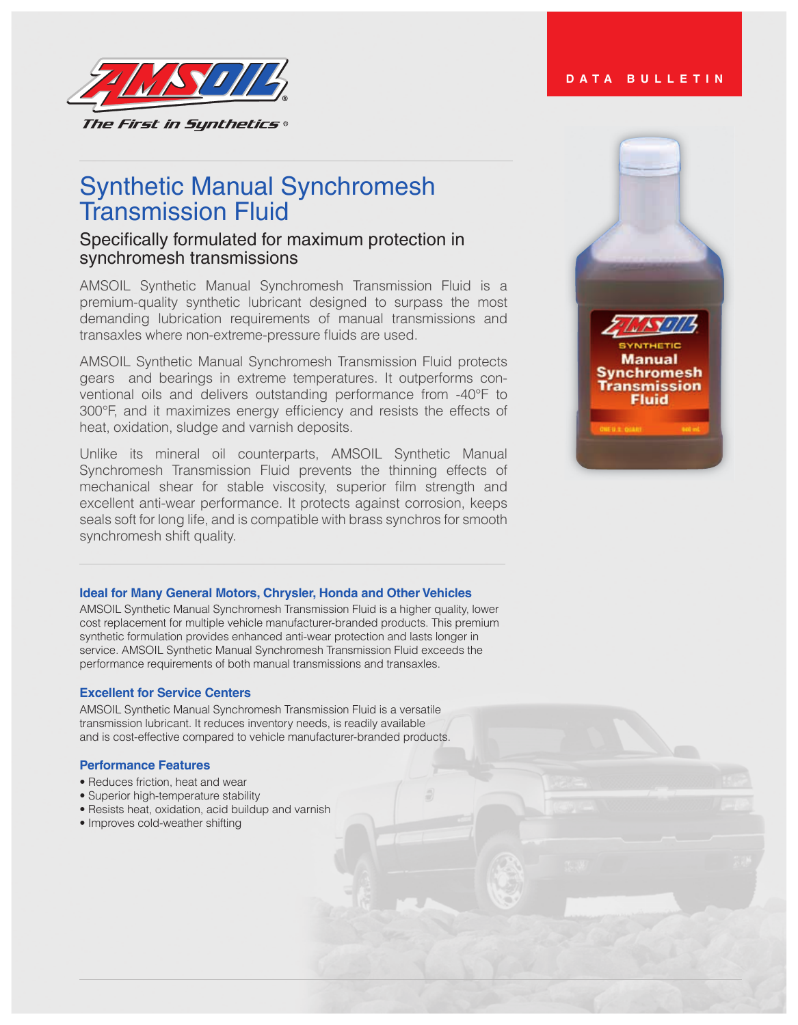

# Synthetic Manual Synchromesh Transmission Fluid

# Specifically formulated for maximum protection in synchromesh transmissions

AMSOIL Synthetic Manual Synchromesh Transmission Fluid is a premium-quality synthetic lubricant designed to surpass the most demanding lubrication requirements of manual transmissions and transaxles where non-extreme-pressure fluids are used.

AMSOIL Synthetic Manual Synchromesh Transmission Fluid protects gears and bearings in extreme temperatures. It outperforms conventional oils and delivers outstanding performance from -40°F to 300°F, and it maximizes energy efficiency and resists the effects of heat, oxidation, sludge and varnish deposits.

Unlike its mineral oil counterparts, AMSOIL Synthetic Manual Synchromesh Transmission Fluid prevents the thinning effects of mechanical shear for stable viscosity, superior film strength and excellent anti-wear performance. It protects against corrosion, keeps seals soft for long life, and is compatible with brass synchros for smooth synchromesh shift quality.

## **Ideal for Many General Motors, Chrysler, Honda and Other Vehicles**

AMSOIL Synthetic Manual Synchromesh Transmission Fluid is a higher quality, lower cost replacement for multiple vehicle manufacturer-branded products. This premium synthetic formulation provides enhanced anti-wear protection and lasts longer in service. AMSOIL Synthetic Manual Synchromesh Transmission Fluid exceeds the performance requirements of both manual transmissions and transaxles.

#### **Excellent for Service Centers**

AMSOIL Synthetic Manual Synchromesh Transmission Fluid is a versatile transmission lubricant. It reduces inventory needs, is readily available and is cost-effective compared to vehicle manufacturer-branded products.

#### **Performance Features**

- Reduces friction, heat and wear
- Superior high-temperature stability
- Resists heat, oxidation, acid buildup and varnish
- Improves cold-weather shifting